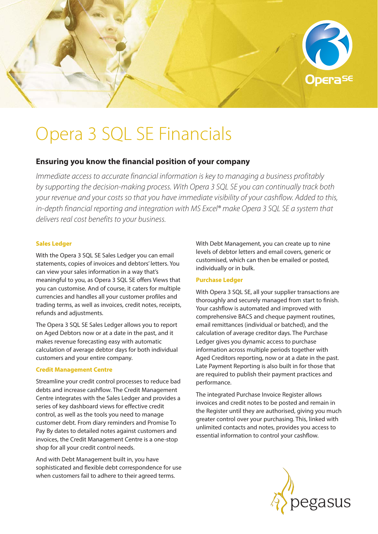

# Opera 3 SQL SE Financials

# **Ensuring you know the financial position of your company**

*Immediate access to accurate financial information is key to managing a business profitably by supporting the decision-making process. With Opera 3 SQL SE you can continually track both your revenue and your costs so that you have immediate visibility of your cashflow. Added to this, in-depth financial reporting and integration with MS Excel® make Opera 3 SQL SE a system that delivers real cost benefits to your business.* 

### **Sales Ledger**

With the Opera 3 SQL SE Sales Ledger you can email statements, copies of invoices and debtors' letters. You can view your sales information in a way that's meaningful to you, as Opera 3 SQL SE offers Views that you can customise. And of course, it caters for multiple currencies and handles all your customer profiles and trading terms, as well as invoices, credit notes, receipts, refunds and adjustments.

The Opera 3 SQL SE Sales Ledger allows you to report on Aged Debtors now or at a date in the past, and it makes revenue forecasting easy with automatic calculation of average debtor days for both individual customers and your entire company.

# **Credit Management Centre**

Streamline your credit control processes to reduce bad debts and increase cashflow. The Credit Management Centre integrates with the Sales Ledger and provides a series of key dashboard views for effective credit control, as well as the tools you need to manage customer debt. From diary reminders and Promise To Pay By dates to detailed notes against customers and invoices, the Credit Management Centre is a one-stop shop for all your credit control needs.

And with Debt Management built in, you have sophisticated and flexible debt correspondence for use when customers fail to adhere to their agreed terms.

With Debt Management, you can create up to nine levels of debtor letters and email covers, generic or customised, which can then be emailed or posted, individually or in bulk.

# **Purchase Ledger**

With Opera 3 SQL SE, all your supplier transactions are thoroughly and securely managed from start to finish. Your cashflow is automated and improved with comprehensive BACS and cheque payment routines, email remittances (individual or batched), and the calculation of average creditor days. The Purchase Ledger gives you dynamic access to purchase information across multiple periods together with Aged Creditors reporting, now or at a date in the past. Late Payment Reporting is also built in for those that are required to publish their payment practices and performance.

The integrated Purchase Invoice Register allows invoices and credit notes to be posted and remain in the Register until they are authorised, giving you much greater control over your purchasing. This, linked with unlimited contacts and notes, provides you access to essential information to control your cashflow.